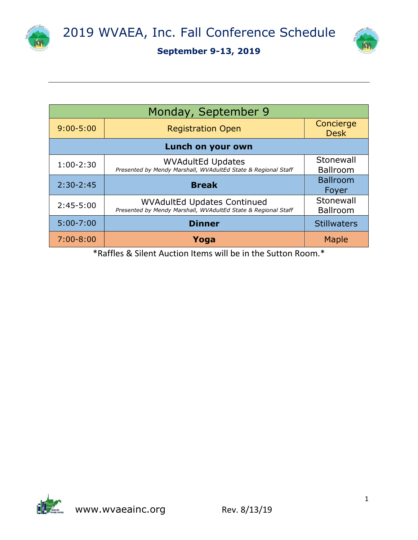



| Monday, September 9 |                                                                                                     |                              |  |
|---------------------|-----------------------------------------------------------------------------------------------------|------------------------------|--|
| $9:00 - 5:00$       | <b>Registration Open</b>                                                                            | Concierge<br><b>Desk</b>     |  |
| Lunch on your own   |                                                                                                     |                              |  |
| $1:00-2:30$         | <b>WVAdultEd Updates</b><br>Presented by Mendy Marshall, WVAdultEd State & Regional Staff           | Stonewall<br><b>Ballroom</b> |  |
| $2:30-2:45$         | <b>Break</b>                                                                                        | <b>Ballroom</b><br>Foyer     |  |
| $2:45-5:00$         | <b>WVAdultEd Updates Continued</b><br>Presented by Mendy Marshall, WVAdultEd State & Regional Staff | Stonewall<br><b>Ballroom</b> |  |
| $5:00 - 7:00$       | <b>Dinner</b>                                                                                       | <b>Stillwaters</b>           |  |
| $7:00 - 8:00$       | Yoga                                                                                                | Maple                        |  |

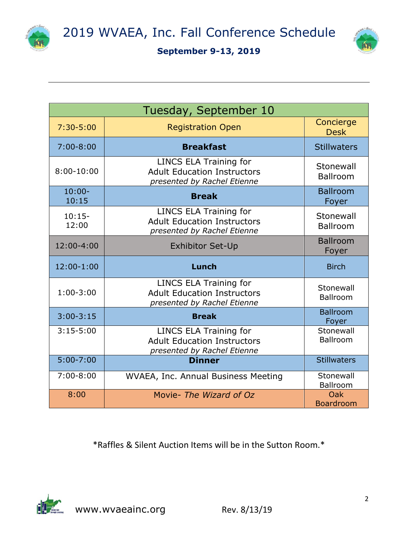



| Tuesday, September 10 |                                                                                             |                          |
|-----------------------|---------------------------------------------------------------------------------------------|--------------------------|
| $7:30 - 5:00$         | <b>Registration Open</b>                                                                    | Concierge<br><b>Desk</b> |
| $7:00 - 8:00$         | <b>Breakfast</b>                                                                            | <b>Stillwaters</b>       |
| $8:00-10:00$          | LINCS ELA Training for<br><b>Adult Education Instructors</b><br>presented by Rachel Etienne | Stonewall<br>Ballroom    |
| $10:00 -$<br>10:15    | <b>Break</b>                                                                                | <b>Ballroom</b><br>Foyer |
| $10:15-$<br>12:00     | LINCS ELA Training for<br><b>Adult Education Instructors</b><br>presented by Rachel Etienne | Stonewall<br>Ballroom    |
| 12:00-4:00            | <b>Exhibitor Set-Up</b>                                                                     | <b>Ballroom</b><br>Foyer |
| 12:00-1:00            | Lunch                                                                                       | <b>Birch</b>             |
| $1:00-3:00$           | LINCS ELA Training for<br><b>Adult Education Instructors</b><br>presented by Rachel Etienne | Stonewall<br>Ballroom    |
|                       |                                                                                             |                          |
| $3:00-3:15$           | <b>Break</b>                                                                                | <b>Ballroom</b><br>Foyer |
| $3:15-5:00$           | <b>LINCS ELA Training for</b><br><b>Adult Education Instructors</b>                         | Stonewall<br>Ballroom    |
| $5:00 - 7:00$         | presented by Rachel Etienne<br><b>Dinner</b>                                                | <b>Stillwaters</b>       |
| $7:00 - 8:00$         | WVAEA, Inc. Annual Business Meeting                                                         | Stonewall<br>Ballroom    |

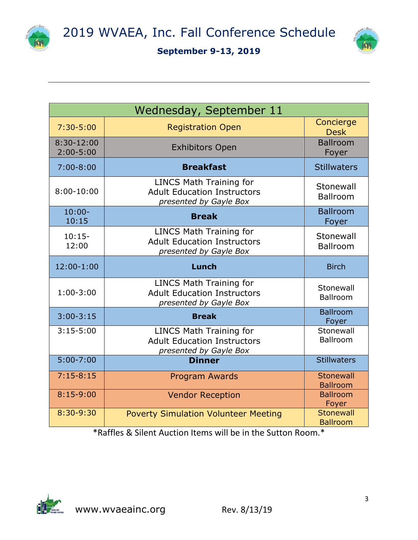



| Wednesday, September 11         |                                                                                                |                              |
|---------------------------------|------------------------------------------------------------------------------------------------|------------------------------|
| $7:30 - 5:00$                   | <b>Registration Open</b>                                                                       | Concierge<br><b>Desk</b>     |
| $8:30 - 12:00$<br>$2:00 - 5:00$ | <b>Exhibitors Open</b>                                                                         | <b>Ballroom</b><br>Foyer     |
| $7:00 - 8:00$                   | <b>Breakfast</b>                                                                               | <b>Stillwaters</b>           |
| $8:00-10:00$                    | <b>LINCS Math Training for</b><br><b>Adult Education Instructors</b><br>presented by Gayle Box | Stonewall<br><b>Ballroom</b> |
| $10:00 -$<br>10:15              | <b>Break</b>                                                                                   | <b>Ballroom</b><br>Foyer     |
| $10:15-$<br>12:00               | <b>LINCS Math Training for</b><br><b>Adult Education Instructors</b><br>presented by Gayle Box | Stonewall<br><b>Ballroom</b> |
| 12:00-1:00                      | Lunch                                                                                          | <b>Birch</b>                 |
| $1:00-3:00$                     | <b>LINCS Math Training for</b><br><b>Adult Education Instructors</b><br>presented by Gayle Box | Stonewall<br><b>Ballroom</b> |
| $3:00-3:15$                     | <b>Break</b>                                                                                   | <b>Ballroom</b><br>Foyer     |
| $3:15 - 5:00$                   | <b>LINCS Math Training for</b><br><b>Adult Education Instructors</b><br>presented by Gayle Box | Stonewall<br><b>Ballroom</b> |
| $5:00 - 7:00$                   | <b>Dinner</b>                                                                                  | <b>Stillwaters</b>           |
| $7:15-8:15$                     | <b>Program Awards</b>                                                                          | Stonewall<br><b>Ballroom</b> |
| $8:15-9:00$                     | <b>Vendor Reception</b>                                                                        | <b>Ballroom</b><br>Foyer     |
| 8:30-9:30                       | <b>Poverty Simulation Volunteer Meeting</b>                                                    | Stonewall<br><b>Ballroom</b> |

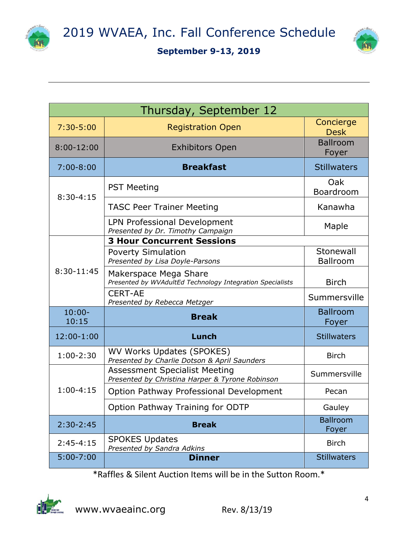





| Thursday, September 12 |                                                                                         |                              |  |
|------------------------|-----------------------------------------------------------------------------------------|------------------------------|--|
| $7:30 - 5:00$          | <b>Registration Open</b>                                                                | Concierge<br><b>Desk</b>     |  |
| $8:00-12:00$           | <b>Exhibitors Open</b>                                                                  | <b>Ballroom</b><br>Foyer     |  |
| $7:00 - 8:00$          | <b>Breakfast</b>                                                                        | <b>Stillwaters</b>           |  |
| $8:30 - 4:15$          | <b>PST Meeting</b>                                                                      | Oak<br>Boardroom             |  |
|                        | <b>TASC Peer Trainer Meeting</b>                                                        | Kanawha                      |  |
|                        | <b>LPN Professional Development</b><br>Presented by Dr. Timothy Campaign                | Maple                        |  |
|                        | <b>3 Hour Concurrent Sessions</b>                                                       |                              |  |
| 8:30-11:45             | <b>Poverty Simulation</b><br>Presented by Lisa Doyle-Parsons                            | Stonewall<br><b>Ballroom</b> |  |
|                        | Makerspace Mega Share<br>Presented by WVAdultEd Technology Integration Specialists      | <b>Birch</b>                 |  |
|                        | <b>CERT-AE</b><br>Presented by Rebecca Metzger                                          | Summersville                 |  |
| $10:00 -$<br>10:15     | <b>Break</b>                                                                            | <b>Ballroom</b><br>Foyer     |  |
| 12:00-1:00             | Lunch                                                                                   | <b>Stillwaters</b>           |  |
| $1:00-2:30$            | WV Works Updates (SPOKES)<br>Presented by Charlie Dotson & April Saunders               | <b>Birch</b>                 |  |
| $1:00 - 4:15$          | <b>Assessment Specialist Meeting</b><br>Presented by Christina Harper & Tyrone Robinson | Summersville                 |  |
|                        | Option Pathway Professional Development                                                 | Pecan                        |  |
|                        | Option Pathway Training for ODTP                                                        | Gauley                       |  |
| $2:30-2:45$            | <b>Break</b>                                                                            | <b>Ballroom</b><br>Foyer     |  |
| $2:45-4:15$            | <b>SPOKES Updates</b><br>Presented by Sandra Adkins                                     | <b>Birch</b>                 |  |
| $5:00 - 7:00$          | <b>Dinner</b>                                                                           | <b>Stillwaters</b>           |  |